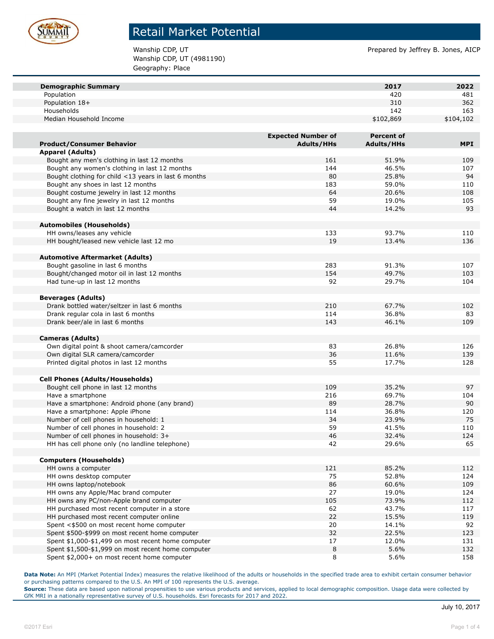

Wanship CDP, UT (4981190) Geography: Place

Wanship CDP, UT **Prepared by Jeffrey B. Jones, AICP** Prepared by Jeffrey B. Jones, AICP

| <b>Demographic Summary</b>                                                      |                           | 2017              | 2022       |
|---------------------------------------------------------------------------------|---------------------------|-------------------|------------|
| Population                                                                      |                           | 420               | 481        |
| Population 18+                                                                  |                           | 310               | 362        |
| Households                                                                      |                           | 142               | 163        |
| Median Household Income                                                         |                           | \$102,869         | \$104,102  |
|                                                                                 |                           |                   |            |
|                                                                                 | <b>Expected Number of</b> | <b>Percent of</b> |            |
| <b>Product/Consumer Behavior</b>                                                | <b>Adults/HHs</b>         | <b>Adults/HHs</b> | <b>MPI</b> |
| <b>Apparel (Adults)</b>                                                         |                           |                   |            |
| Bought any men's clothing in last 12 months                                     | 161                       | 51.9%             | 109        |
| Bought any women's clothing in last 12 months                                   | 144                       | 46.5%             | 107        |
| Bought clothing for child <13 years in last 6 months                            | 80                        | 25.8%             | 94         |
| Bought any shoes in last 12 months                                              | 183                       | 59.0%             | 110        |
| Bought costume jewelry in last 12 months                                        | 64                        | 20.6%             | 108        |
| Bought any fine jewelry in last 12 months                                       | 59                        | 19.0%             | 105        |
| Bought a watch in last 12 months                                                | 44                        | 14.2%             | 93         |
| <b>Automobiles (Households)</b>                                                 |                           |                   |            |
| HH owns/leases any vehicle                                                      | 133                       | 93.7%             | 110        |
| HH bought/leased new vehicle last 12 mo                                         | 19                        | 13.4%             | 136        |
|                                                                                 |                           |                   |            |
| <b>Automotive Aftermarket (Adults)</b>                                          |                           |                   |            |
| Bought gasoline in last 6 months                                                | 283                       | 91.3%             | 107        |
| Bought/changed motor oil in last 12 months                                      | 154                       | 49.7%             | 103        |
| Had tune-up in last 12 months                                                   | 92                        | 29.7%             | 104        |
|                                                                                 |                           |                   |            |
| <b>Beverages (Adults)</b>                                                       |                           |                   |            |
| Drank bottled water/seltzer in last 6 months                                    | 210                       | 67.7%             | 102        |
| Drank regular cola in last 6 months                                             | 114                       | 36.8%             | 83         |
| Drank beer/ale in last 6 months                                                 | 143                       | 46.1%             | 109        |
|                                                                                 |                           |                   |            |
| <b>Cameras (Adults)</b>                                                         |                           |                   |            |
| Own digital point & shoot camera/camcorder                                      | 83                        | 26.8%             | 126        |
| Own digital SLR camera/camcorder                                                | 36                        | 11.6%             | 139        |
| Printed digital photos in last 12 months                                        | 55                        | 17.7%             | 128        |
|                                                                                 |                           |                   |            |
| <b>Cell Phones (Adults/Households)</b>                                          |                           |                   |            |
| Bought cell phone in last 12 months                                             | 109                       | 35.2%             | 97         |
| Have a smartphone                                                               | 216                       | 69.7%             | 104        |
| Have a smartphone: Android phone (any brand)                                    | 89                        | 28.7%             | 90         |
| Have a smartphone: Apple iPhone                                                 | 114                       | 36.8%             | 120        |
| Number of cell phones in household: 1                                           | 34                        | 23.9%             | 75         |
| Number of cell phones in household: 2<br>Number of cell phones in household: 3+ | 59<br>46                  | 41.5%             | 110<br>124 |
|                                                                                 |                           | 32.4%             |            |
| HH has cell phone only (no landline telephone)                                  | 42                        | 29.6%             | 65         |
| <b>Computers (Households)</b>                                                   |                           |                   |            |
| HH owns a computer                                                              | 121                       | 85.2%             | 112        |
| HH owns desktop computer                                                        | 75                        | 52.8%             | 124        |
| HH owns laptop/notebook                                                         | 86                        | 60.6%             | 109        |
| HH owns any Apple/Mac brand computer                                            | 27                        | 19.0%             | 124        |
| HH owns any PC/non-Apple brand computer                                         | 105                       | 73.9%             | 112        |
| HH purchased most recent computer in a store                                    | 62                        | 43.7%             | 117        |
| HH purchased most recent computer online                                        | 22                        | 15.5%             | 119        |
| Spent <\$500 on most recent home computer                                       | 20                        | 14.1%             | 92         |
| Spent \$500-\$999 on most recent home computer                                  | 32                        | 22.5%             | 123        |
| Spent \$1,000-\$1,499 on most recent home computer                              | 17                        | 12.0%             | 131        |
| Spent \$1,500-\$1,999 on most recent home computer                              | 8                         | 5.6%              | 132        |
| Spent \$2,000+ on most recent home computer                                     | 8                         | 5.6%              | 158        |

**Data Note:** An MPI (Market Potential Index) measures the relative likelihood of the adults or households in the specified trade area to exhibit certain consumer behavior or purchasing patterns compared to the U.S. An MPI of 100 represents the U.S. average.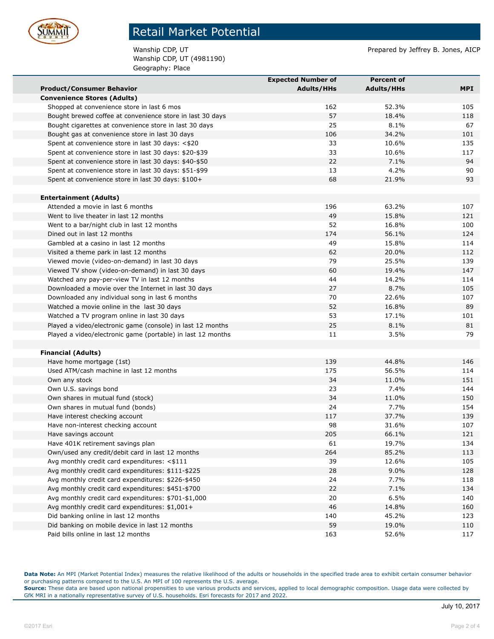

Wanship CDP, UT (4981190) Geography: Place

Wanship CDP, UT **Prepared by Jeffrey B. Jones, AICP** Prepared by Jeffrey B. Jones, AICP

|                                                             | <b>Expected Number of</b> | <b>Percent of</b> |     |
|-------------------------------------------------------------|---------------------------|-------------------|-----|
| <b>Product/Consumer Behavior</b>                            | <b>Adults/HHs</b>         | <b>Adults/HHs</b> | MPI |
| <b>Convenience Stores (Adults)</b>                          |                           |                   |     |
| Shopped at convenience store in last 6 mos                  | 162                       | 52.3%             | 105 |
| Bought brewed coffee at convenience store in last 30 days   | 57                        | 18.4%             | 118 |
| Bought cigarettes at convenience store in last 30 days      | 25                        | 8.1%              | 67  |
| Bought gas at convenience store in last 30 days             | 106                       | 34.2%             | 101 |
| Spent at convenience store in last 30 days: <\$20           | 33                        | 10.6%             | 135 |
| Spent at convenience store in last 30 days: \$20-\$39       | 33                        | 10.6%             | 117 |
| Spent at convenience store in last 30 days: \$40-\$50       | 22                        | 7.1%              | 94  |
| Spent at convenience store in last 30 days: \$51-\$99       | 13                        | 4.2%              | 90  |
| Spent at convenience store in last 30 days: \$100+          | 68                        | 21.9%             | 93  |
|                                                             |                           |                   |     |
| <b>Entertainment (Adults)</b>                               |                           |                   |     |
| Attended a movie in last 6 months                           | 196                       | 63.2%             | 107 |
| Went to live theater in last 12 months                      | 49                        | 15.8%             | 121 |
| Went to a bar/night club in last 12 months                  | 52                        | 16.8%             | 100 |
| Dined out in last 12 months                                 | 174                       | 56.1%             | 124 |
| Gambled at a casino in last 12 months                       | 49                        | 15.8%             | 114 |
| Visited a theme park in last 12 months                      | 62                        | 20.0%             | 112 |
| Viewed movie (video-on-demand) in last 30 days              | 79                        | 25.5%             | 139 |
| Viewed TV show (video-on-demand) in last 30 days            | 60                        | 19.4%             | 147 |
| Watched any pay-per-view TV in last 12 months               | 44                        | 14.2%             | 114 |
| Downloaded a movie over the Internet in last 30 days        | 27                        | 8.7%              | 105 |
| Downloaded any individual song in last 6 months             | 70                        | 22.6%             | 107 |
| Watched a movie online in the last 30 days                  | 52                        | 16.8%             | 89  |
| Watched a TV program online in last 30 days                 | 53                        | 17.1%             | 101 |
| Played a video/electronic game (console) in last 12 months  | 25                        | 8.1%              | 81  |
| Played a video/electronic game (portable) in last 12 months | 11                        | 3.5%              | 79  |
|                                                             |                           |                   |     |
| <b>Financial (Adults)</b>                                   |                           |                   |     |
| Have home mortgage (1st)                                    | 139                       | 44.8%             | 146 |
| Used ATM/cash machine in last 12 months                     | 175                       | 56.5%             | 114 |
| Own any stock                                               | 34                        | 11.0%             | 151 |
| Own U.S. savings bond                                       | 23                        | 7.4%              | 144 |
| Own shares in mutual fund (stock)                           | 34                        | 11.0%             | 150 |
| Own shares in mutual fund (bonds)                           | 24                        | 7.7%              | 154 |
| Have interest checking account                              | 117                       | 37.7%             | 139 |
| Have non-interest checking account                          | 98                        | 31.6%             | 107 |
| Have savings account                                        | 205                       | 66.1%             | 121 |
| Have 401K retirement savings plan                           | 61                        | 19.7%             | 134 |
| Own/used any credit/debit card in last 12 months            | 264                       | 85.2%             | 113 |
| Avg monthly credit card expenditures: <\$111                | 39                        | 12.6%             | 105 |
| Avg monthly credit card expenditures: \$111-\$225           | 28                        | 9.0%              | 128 |
| Avg monthly credit card expenditures: \$226-\$450           | 24                        | 7.7%              | 118 |
| Avg monthly credit card expenditures: \$451-\$700           | 22                        | 7.1%              | 134 |
| Avg monthly credit card expenditures: \$701-\$1,000         | 20                        | 6.5%              | 140 |
| Avg monthly credit card expenditures: \$1,001+              | 46                        | 14.8%             | 160 |
| Did banking online in last 12 months                        | 140                       | 45.2%             | 123 |
| Did banking on mobile device in last 12 months              | 59                        | 19.0%             | 110 |
| Paid bills online in last 12 months                         | 163                       | 52.6%             | 117 |

**Data Note:** An MPI (Market Potential Index) measures the relative likelihood of the adults or households in the specified trade area to exhibit certain consumer behavior or purchasing patterns compared to the U.S. An MPI of 100 represents the U.S. average.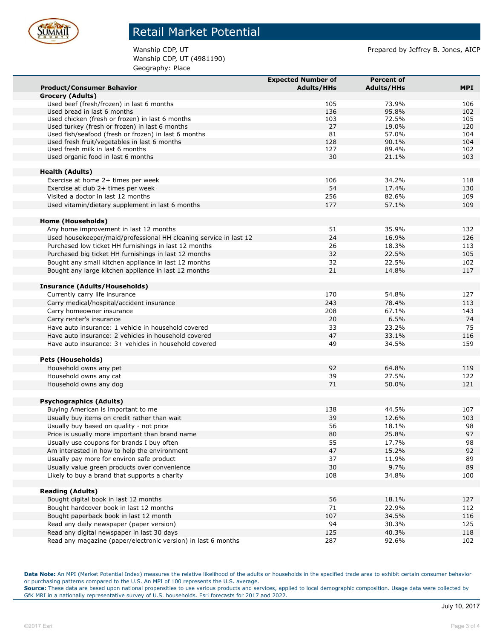

Wanship CDP, UT (4981190) Geography: Place

Wanship CDP, UT **Prepared by Jeffrey B. Jones, AICP** Prepared by Jeffrey B. Jones, AICP

|                                                                                                      | <b>Expected Number of</b> | <b>Percent of</b> |            |
|------------------------------------------------------------------------------------------------------|---------------------------|-------------------|------------|
| <b>Product/Consumer Behavior</b>                                                                     | <b>Adults/HHs</b>         | <b>Adults/HHs</b> | <b>MPI</b> |
| <b>Grocery (Adults)</b>                                                                              |                           |                   |            |
| Used beef (fresh/frozen) in last 6 months                                                            | 105                       | 73.9%             | 106        |
| Used bread in last 6 months                                                                          | 136                       | 95.8%             | 102        |
| Used chicken (fresh or frozen) in last 6 months                                                      | 103                       | 72.5%             | 105        |
| Used turkey (fresh or frozen) in last 6 months                                                       | 27                        | 19.0%             | 120        |
| Used fish/seafood (fresh or frozen) in last 6 months<br>Used fresh fruit/vegetables in last 6 months | 81<br>128                 | 57.0%<br>90.1%    | 104<br>104 |
| Used fresh milk in last 6 months                                                                     | 127                       | 89.4%             | 102        |
| Used organic food in last 6 months                                                                   | 30                        | 21.1%             | 103        |
|                                                                                                      |                           |                   |            |
| <b>Health (Adults)</b>                                                                               |                           |                   |            |
| Exercise at home 2+ times per week                                                                   | 106                       | 34.2%             | 118        |
| Exercise at club 2+ times per week                                                                   | 54                        | 17.4%             | 130        |
| Visited a doctor in last 12 months                                                                   | 256                       | 82.6%             | 109        |
| Used vitamin/dietary supplement in last 6 months                                                     | 177                       | 57.1%             | 109        |
|                                                                                                      |                           |                   |            |
| <b>Home (Households)</b>                                                                             |                           |                   |            |
| Any home improvement in last 12 months                                                               | 51                        | 35.9%             | 132        |
| Used housekeeper/maid/professional HH cleaning service in last 12                                    | 24                        | 16.9%             | 126        |
| Purchased low ticket HH furnishings in last 12 months                                                | 26                        | 18.3%             | 113        |
| Purchased big ticket HH furnishings in last 12 months                                                | 32                        | 22.5%             | 105        |
| Bought any small kitchen appliance in last 12 months                                                 | 32                        | 22.5%             | 102        |
| Bought any large kitchen appliance in last 12 months                                                 | 21                        | 14.8%             | 117        |
|                                                                                                      |                           |                   |            |
| <b>Insurance (Adults/Households)</b>                                                                 |                           |                   |            |
| Currently carry life insurance                                                                       | 170                       | 54.8%             | 127        |
| Carry medical/hospital/accident insurance                                                            | 243                       | 78.4%             | 113        |
| Carry homeowner insurance                                                                            | 208                       | 67.1%             | 143        |
| Carry renter's insurance                                                                             | 20                        | 6.5%              | 74         |
| Have auto insurance: 1 vehicle in household covered                                                  | 33                        | 23.2%             | 75         |
| Have auto insurance: 2 vehicles in household covered                                                 | 47                        | 33.1%             | 116        |
| Have auto insurance: 3+ vehicles in household covered                                                | 49                        | 34.5%             | 159        |
|                                                                                                      |                           |                   |            |
| <b>Pets (Households)</b>                                                                             |                           |                   |            |
| Household owns any pet                                                                               | 92                        | 64.8%             | 119        |
| Household owns any cat                                                                               | 39                        | 27.5%             | 122        |
| Household owns any dog                                                                               | 71                        | 50.0%             | 121        |
|                                                                                                      |                           |                   |            |
| <b>Psychographics (Adults)</b>                                                                       |                           |                   |            |
| Buying American is important to me                                                                   | 138                       | 44.5%             | 107        |
| Usually buy items on credit rather than wait                                                         | 39                        | 12.6%             | 103        |
| Usually buy based on quality - not price                                                             | 56                        | 18.1%             | 98         |
| Price is usually more important than brand name                                                      | 80                        | 25.8%             | 97         |
| Usually use coupons for brands I buy often                                                           | 55                        | 17.7%             | 98         |
| Am interested in how to help the environment                                                         | 47                        | 15.2%             | 92         |
| Usually pay more for environ safe product                                                            | 37                        | 11.9%             | 89         |
| Usually value green products over convenience                                                        | 30                        | 9.7%              | 89         |
| Likely to buy a brand that supports a charity                                                        | 108                       | 34.8%             | 100        |
|                                                                                                      |                           |                   |            |
| <b>Reading (Adults)</b>                                                                              |                           |                   |            |
| Bought digital book in last 12 months                                                                | 56                        | 18.1%             | 127        |
| Bought hardcover book in last 12 months                                                              | 71                        | 22.9%             | 112        |
| Bought paperback book in last 12 month                                                               | 107                       | 34.5%             | 116        |
| Read any daily newspaper (paper version)                                                             | 94                        | 30.3%             | 125        |
| Read any digital newspaper in last 30 days                                                           | 125                       | 40.3%             | 118        |
| Read any magazine (paper/electronic version) in last 6 months                                        | 287                       | 92.6%             | 102        |

**Data Note:** An MPI (Market Potential Index) measures the relative likelihood of the adults or households in the specified trade area to exhibit certain consumer behavior or purchasing patterns compared to the U.S. An MPI of 100 represents the U.S. average.